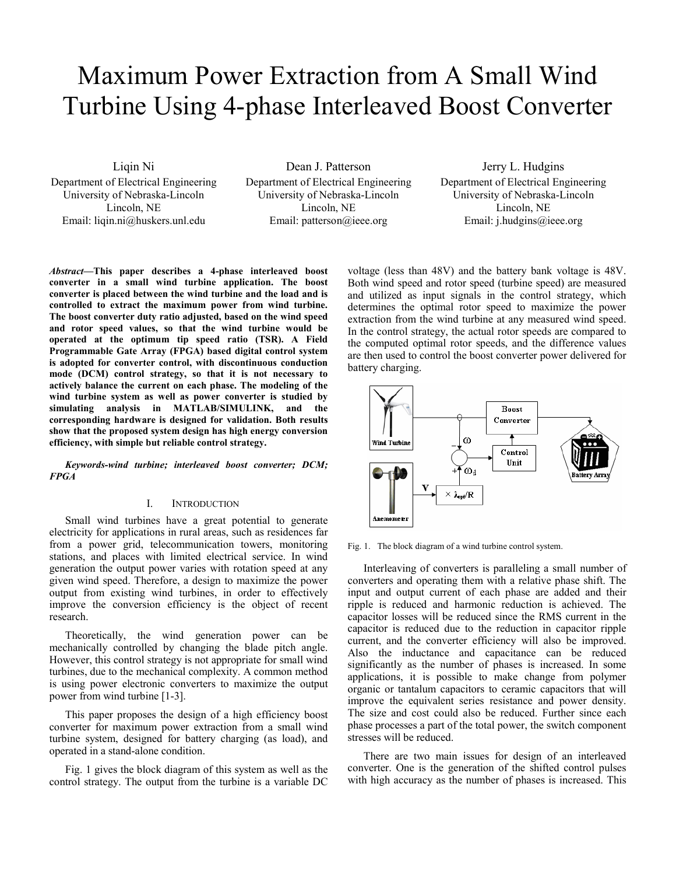# Maximum Power Extraction from A Small Wind Turbine Using 4-phase Interleaved Boost Converter

Liqin Ni

Department of Electrical Engineering University of Nebraska-Lincoln Lincoln, NE Email: liqin.ni@huskers.unl.edu

Dean J. Patterson Department of Electrical Engineering University of Nebraska-Lincoln Lincoln, NE Email: patterson@ieee.org

Jerry L. Hudgins Department of Electrical Engineering University of Nebraska-Lincoln Lincoln, NE Email: j.hudgins@ieee.org

Abstract—This paper describes a 4-phase interleaved boost converter in a small wind turbine application. The boost converter is placed between the wind turbine and the load and is controlled to extract the maximum power from wind turbine. The boost converter duty ratio adjusted, based on the wind speed and rotor speed values, so that the wind turbine would be operated at the optimum tip speed ratio (TSR). A Field Programmable Gate Array (FPGA) based digital control system is adopted for converter control, with discontinuous conduction mode (DCM) control strategy, so that it is not necessary to actively balance the current on each phase. The modeling of the wind turbine system as well as power converter is studied by simulating analysis in MATLAB/SIMULINK, and the corresponding hardware is designed for validation. Both results show that the proposed system design has high energy conversion efficiency, with simple but reliable control strategy.

Keywords-wind turbine; interleaved boost converter; DCM; FPGA

# I. INTRODUCTION

Small wind turbines have a great potential to generate electricity for applications in rural areas, such as residences far from a power grid, telecommunication towers, monitoring stations, and places with limited electrical service. In wind generation the output power varies with rotation speed at any given wind speed. Therefore, a design to maximize the power output from existing wind turbines, in order to effectively improve the conversion efficiency is the object of recent research.

Theoretically, the wind generation power can be mechanically controlled by changing the blade pitch angle. However, this control strategy is not appropriate for small wind turbines, due to the mechanical complexity. A common method is using power electronic converters to maximize the output power from wind turbine [1-3].

This paper proposes the design of a high efficiency boost converter for maximum power extraction from a small wind turbine system, designed for battery charging (as load), and operated in a stand-alone condition.

Fig. 1 gives the block diagram of this system as well as the control strategy. The output from the turbine is a variable DC

voltage (less than 48V) and the battery bank voltage is 48V. Both wind speed and rotor speed (turbine speed) are measured and utilized as input signals in the control strategy, which determines the optimal rotor speed to maximize the power extraction from the wind turbine at any measured wind speed. In the control strategy, the actual rotor speeds are compared to the computed optimal rotor speeds, and the difference values are then used to control the boost converter power delivered for battery charging.



Fig. 1. The block diagram of a wind turbine control system.

Interleaving of converters is paralleling a small number of converters and operating them with a relative phase shift. The input and output current of each phase are added and their ripple is reduced and harmonic reduction is achieved. The capacitor losses will be reduced since the RMS current in the capacitor is reduced due to the reduction in capacitor ripple current, and the converter efficiency will also be improved. Also the inductance and capacitance can be reduced significantly as the number of phases is increased. In some applications, it is possible to make change from polymer organic or tantalum capacitors to ceramic capacitors that will improve the equivalent series resistance and power density. The size and cost could also be reduced. Further since each phase processes a part of the total power, the switch component stresses will be reduced.

There are two main issues for design of an interleaved converter. One is the generation of the shifted control pulses with high accuracy as the number of phases is increased. This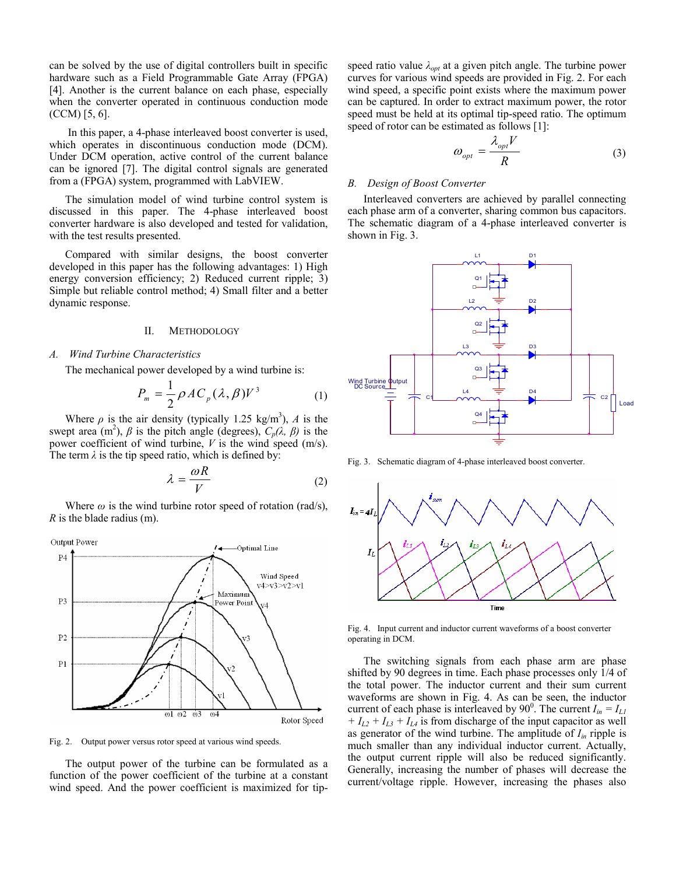can be solved by the use of digital controllers built in specific hardware such as a Field Programmable Gate Array (FPGA) [4]. Another is the current balance on each phase, especially when the converter operated in continuous conduction mode (CCM) [5, 6].

 In this paper, a 4-phase interleaved boost converter is used, which operates in discontinuous conduction mode (DCM). Under DCM operation, active control of the current balance can be ignored [7]. The digital control signals are generated from a (FPGA) system, programmed with LabVIEW.

The simulation model of wind turbine control system is discussed in this paper. The 4-phase interleaved boost converter hardware is also developed and tested for validation, with the test results presented.

Compared with similar designs, the boost converter developed in this paper has the following advantages: 1) High energy conversion efficiency; 2) Reduced current ripple; 3) Simple but reliable control method; 4) Small filter and a better dynamic response.

## II. METHODOLOGY

#### A. Wind Turbine Characteristics

The mechanical power developed by a wind turbine is:

$$
P_m = \frac{1}{2} \rho A C_p (\lambda, \beta) V^3
$$
 (1)

Where  $\rho$  is the air density (typically 1.25 kg/m<sup>3</sup>), A is the swept area (m<sup>2</sup>),  $\beta$  is the pitch angle (degrees),  $C_p(\lambda, \beta)$  is the power coefficient of wind turbine,  $V$  is the wind speed (m/s). The term  $\lambda$  is the tip speed ratio, which is defined by:

$$
\lambda = \frac{\omega R}{V} \tag{2}
$$

Where  $\omega$  is the wind turbine rotor speed of rotation (rad/s),  $R$  is the blade radius (m).



Fig. 2. Output power versus rotor speed at various wind speeds.

The output power of the turbine can be formulated as a function of the power coefficient of the turbine at a constant wind speed. And the power coefficient is maximized for tipspeed ratio value  $\lambda_{opt}$  at a given pitch angle. The turbine power curves for various wind speeds are provided in Fig. 2. For each wind speed, a specific point exists where the maximum power can be captured. In order to extract maximum power, the rotor speed must be held at its optimal tip-speed ratio. The optimum speed of rotor can be estimated as follows [1]:

$$
\omega_{opt} = \frac{\lambda_{opt} V}{R}
$$
 (3)

## B. Design of Boost Converter

Interleaved converters are achieved by parallel connecting each phase arm of a converter, sharing common bus capacitors. The schematic diagram of a 4-phase interleaved converter is shown in Fig. 3.



Fig. 3. Schematic diagram of 4-phase interleaved boost converter.



Fig. 4. Input current and inductor current waveforms of a boost converter operating in DCM.

The switching signals from each phase arm are phase shifted by 90 degrees in time. Each phase processes only 1/4 of the total power. The inductor current and their sum current waveforms are shown in Fig. 4. As can be seen, the inductor current of each phase is interleaved by 90<sup>0</sup>. The current  $I_{in} = I_{LL}$  $+ I_{L2} + I_{L3} + I_{L4}$  is from discharge of the input capacitor as well as generator of the wind turbine. The amplitude of  $I_{in}$  ripple is much smaller than any individual inductor current. Actually, the output current ripple will also be reduced significantly. Generally, increasing the number of phases will decrease the current/voltage ripple. However, increasing the phases also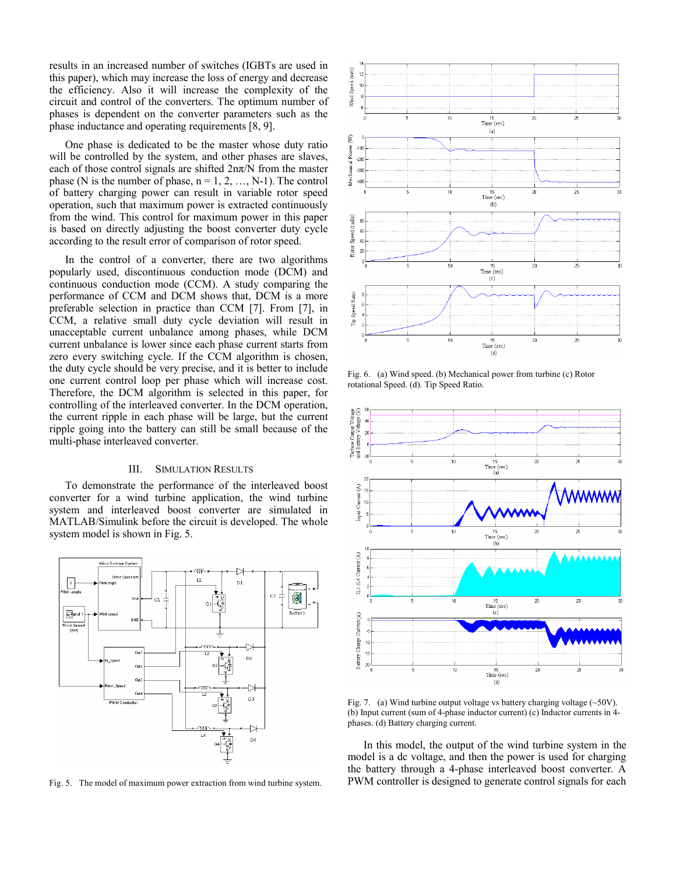results in an increased number of switches (IGBTs are used in this paper), which may increase the loss of energy and decrease the efficiency. Also it will increase the complexity of the circuit and control of the converters. The optimum number of phases is dependent on the converter parameters such as the phase inductance and operating requirements [8, 9].

One phase is dedicated to be the master whose duty ratio will be controlled by the system, and other phases are slaves, each of those control signals are shifted  $2n\pi/N$  from the master phase (N is the number of phase,  $n = 1, 2, ..., N-1$ ). The control of battery charging power can result in variable rotor speed operation, such that maximum power is extracted continuously from the wind. This control for maximum power in this paper is based on directly adjusting the boost converter duty cycle according to the result error of comparison of rotor speed.

In the control of a converter, there are two algorithms popularly used, discontinuous conduction mode (DCM) and continuous conduction mode (CCM). A study comparing the performance of CCM and DCM shows that, DCM is a more preferable selection in practice than CCM [7]. From [7], in CCM, a relative small duty cycle deviation will result in unacceptable current unbalance among phases, while DCM current unbalance is lower since each phase current starts from zero every switching cycle. If the CCM algorithm is chosen, the duty cycle should be very precise, and it is better to include one current control loop per phase which will increase cost. Therefore, the DCM algorithm is selected in this paper, for controlling of the interleaved converter. In the DCM operation, the current ripple in each phase will be large, but the current ripple going into the battery can still be small because of the multi-phase interleaved converter.

#### III. SIMULATION RESULTS

To demonstrate the performance of the interleaved boost converter for a wind turbine application, the wind turbine system and interleaved boost converter are simulated in MATLAB/Simulink before the circuit is developed. The whole system model is shown in Fig. 5.



Fig. 5. The model of maximum power extraction from wind turbine system.



Fig. 6. (a) Wind speed. (b) Mechanical power from turbine (c) Rotor rotational Speed. (d). Tip Speed Ratio.



Fig. 7. (a) Wind turbine output voltage vs battery charging voltage (~50V). (b) Input current (sum of 4-phase inductor current) (c) Inductor currents in 4 phases. (d) Battery charging current.

In this model, the output of the wind turbine system in the model is a dc voltage, and then the power is used for charging the battery through a 4-phase interleaved boost converter. A PWM controller is designed to generate control signals for each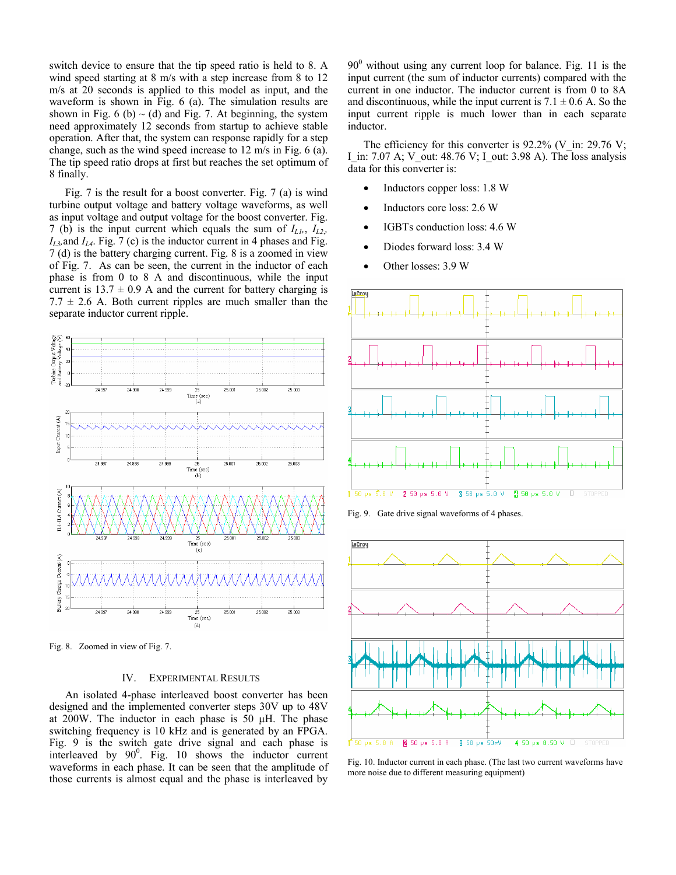switch device to ensure that the tip speed ratio is held to 8. A wind speed starting at 8 m/s with a step increase from 8 to 12 m/s at 20 seconds is applied to this model as input, and the waveform is shown in Fig. 6 (a). The simulation results are shown in Fig. 6 (b)  $\sim$  (d) and Fig. 7. At beginning, the system need approximately 12 seconds from startup to achieve stable operation. After that, the system can response rapidly for a step change, such as the wind speed increase to 12 m/s in Fig. 6 (a). The tip speed ratio drops at first but reaches the set optimum of 8 finally.

Fig. 7 is the result for a boost converter. Fig. 7 (a) is wind turbine output voltage and battery voltage waveforms, as well as input voltage and output voltage for the boost converter. Fig. 7 (b) is the input current which equals the sum of  $I_{LL}$ ,  $I_{L2}$ ,  $I_{L3}$ , and  $I_{L4}$ . Fig. 7 (c) is the inductor current in 4 phases and Fig. 7 (d) is the battery charging current. Fig. 8 is a zoomed in view of Fig. 7. As can be seen, the current in the inductor of each phase is from 0 to 8 A and discontinuous, while the input current is  $13.7 \pm 0.9$  A and the current for battery charging is  $7.7 \pm 2.6$  A. Both current ripples are much smaller than the separate inductor current ripple.



Fig. 8. Zoomed in view of Fig. 7.

#### IV. EXPERIMENTAL RESULTS

An isolated 4-phase interleaved boost converter has been designed and the implemented converter steps 30V up to 48V at 200W. The inductor in each phase is 50 µH. The phase switching frequency is 10 kHz and is generated by an FPGA. Fig. 9 is the switch gate drive signal and each phase is interleaved by  $90^\circ$ . Fig. 10 shows the inductor current waveforms in each phase. It can be seen that the amplitude of those currents is almost equal and the phase is interleaved by

 $90<sup>0</sup>$  without using any current loop for balance. Fig. 11 is the input current (the sum of inductor currents) compared with the current in one inductor. The inductor current is from 0 to 8A and discontinuous, while the input current is  $7.1 \pm 0.6$  A. So the input current ripple is much lower than in each separate inductor.

The efficiency for this converter is  $92.2\%$  (V in: 29.76 V; I\_in: 7.07 A; V\_out: 48.76 V; I\_out: 3.98 A). The loss analysis data for this converter is:

- Inductors copper loss: 1.8 W
- Inductors core loss: 2.6 W
- IGBTs conduction loss: 4.6 W
- Diodes forward loss: 3.4 W
- Other losses: 3.9 W



Fig. 9. Gate drive signal waveforms of 4 phases.



Fig. 10. Inductor current in each phase. (The last two current waveforms have more noise due to different measuring equipment)